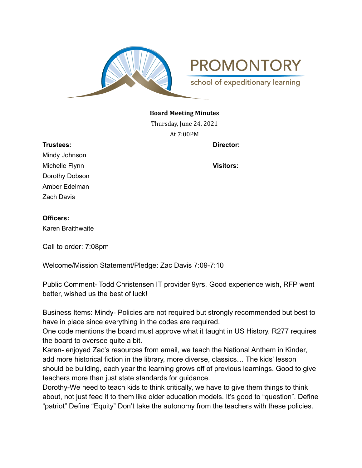

## **Board Meeting Minutes**

Thursday, June 24, 2021 At 7:00PM

**Trustees: Director:**

Mindy Johnson Michelle Flynn **Visitors:** Dorothy Dobson Amber Edelman Zach Davis

## **Officers:**

Karen Braithwaite

Call to order: 7:08pm

Welcome/Mission Statement/Pledge: Zac Davis 7:09-7:10

Public Comment- Todd Christensen IT provider 9yrs. Good experience wish, RFP went better, wished us the best of luck!

Business Items: Mindy- Policies are not required but strongly recommended but best to have in place since everything in the codes are required.

One code mentions the board must approve what it taught in US History. R277 requires the board to oversee quite a bit.

Karen- enjoyed Zac's resources from email, we teach the National Anthem in Kinder, add more historical fiction in the library, more diverse, classics… The kids' lesson should be building, each year the learning grows off of previous learnings. Good to give teachers more than just state standards for guidance.

Dorothy-We need to teach kids to think critically, we have to give them things to think about, not just feed it to them like older education models. It's good to "question". Define "patriot" Define "Equity" Don't take the autonomy from the teachers with these policies.